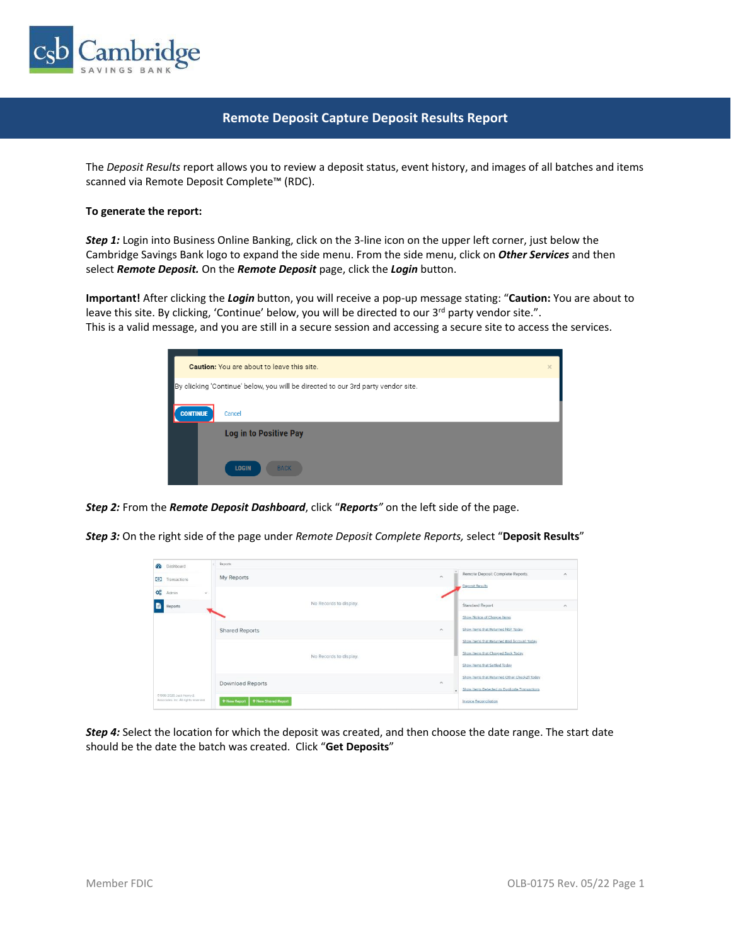

# **Remote Deposit Capture Deposit Results Report**

The *Deposit Results* report allows you to review a deposit status, event history, and images of all batches and items scanned via Remote Deposit Complete™ (RDC).

#### **To generate the report:**

*Step 1:* Login into Business Online Banking, click on the 3-line icon on the upper left corner, just below the Cambridge Savings Bank logo to expand the side menu. From the side menu, click on *Other Services* and then select *Remote Deposit.* On the *Remote Deposit* page, click the *Login* button.

**Important!** After clicking the *Login* button, you will receive a pop-up message stating: "**Caution:** You are about to leave this site. By clicking, 'Continue' below, you will be directed to our 3<sup>rd</sup> party vendor site.". This is a valid message, and you are still in a secure session and accessing a secure site to access the services.



*Step 2:* From the *Remote Deposit Dashboard*, click "*Reports"* on the left side of the page.

*Step 3:* On the right side of the page under *Remote Deposit Complete Reports,* select "**Deposit Results**"

| $\alpha$<br>Dashboard                                            | <b>Reports</b>                        |                                                                         |
|------------------------------------------------------------------|---------------------------------------|-------------------------------------------------------------------------|
| $\bullet$<br>Transactions                                        | My Reports                            | Remote Deposit Complete Reports<br>$\widehat{\phantom{a}}$<br>$\lambda$ |
| <b>CC</b><br>Admin<br>ú.                                         |                                       | Deposit Results                                                         |
| B<br>Reports                                                     | No Records to display.                | Standard Report<br>$\sim$                                               |
|                                                                  |                                       | Show Notice of Change Items                                             |
|                                                                  | <b>Shared Reports</b>                 | Show Items that Returned NSF Today<br>$\sim$                            |
|                                                                  |                                       | Show Items that Returned Bad Account Today                              |
|                                                                  | No Records to display.                | Show Items that Charged Back Today                                      |
|                                                                  |                                       | Show items that Settled Today                                           |
|                                                                  | <b>Download Reports</b>               | Show Items that Returned Other Check21 Today<br>$\widehat{\phantom{a}}$ |
|                                                                  |                                       | Show Items Detected as Duplicate Transactions                           |
| 01998-2020 Jack Henry &<br>Associates, Inc. All rights reserved. | + New Shared Report<br>$+$ New Report | <b>Invoice Reconciliation</b>                                           |

*Step 4:* Select the location for which the deposit was created, and then choose the date range. The start date should be the date the batch was created. Click "**Get Deposits**"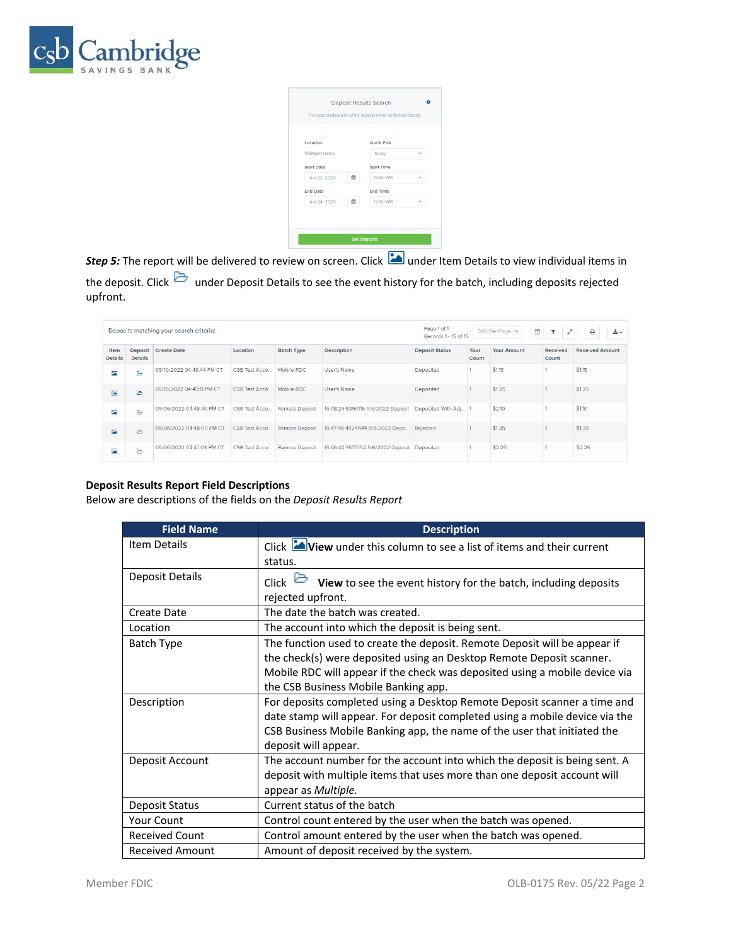

| Location            |   | Quick Pick        |              |
|---------------------|---|-------------------|--------------|
| <b>Waltham Demo</b> |   | Today             | $\checkmark$ |
| <b>Start Date</b>   |   | <b>Start Time</b> |              |
| Jun 23, 2020        | 鱛 | 12:00 AM          | $\checkmark$ |
| <b>End Date</b>     |   | <b>End Time</b>   |              |
| Jun 24, 2020        | 鯩 | 12:00 AM          | v            |

*Step 5:* The report will be delivered to review on screen. Click **in all ander Item Details to view individual items in** the deposit. Click under Deposit Details to see the event history for the batch, including deposits rejected upfront.

|                          | Deposits matching your search criteria: |                           |               |                   | Page 1 of 1<br>$\blacksquare$<br>工业之<br>出口<br>500 Per Page v<br>٥<br>Records 1 - 15 of 15 |                       |               |             |                   |                        |
|--------------------------|-----------------------------------------|---------------------------|---------------|-------------------|-------------------------------------------------------------------------------------------|-----------------------|---------------|-------------|-------------------|------------------------|
| Item<br><b>Details</b>   | <b>Deposit</b><br><b>Details</b>        | <b>Create Date</b>        | Location      | <b>Batch Type</b> | Description                                                                               | <b>Deposit Status</b> | Your<br>Count | Your Amount | Received<br>Count | <b>Received Amount</b> |
| 囜                        | ₿                                       | 05/10/2022 04:49:44 PM CT | CSB Test Acco | Mobile RDC        | User's Name                                                                               | Deposited             |               | \$1.15      |                   | \$1.15                 |
| $\overline{\phantom{a}}$ | $\triangleright$                        | 05/10/2022 04:49:11 PM CT | CSB Test Acco | Mobile RDC        | User's Name                                                                               | Deposited             |               | \$1.25      |                   | \$1.25                 |
| E                        | ₿                                       | 05/06/2022 04:48:40 PM CT | CSB Test Acco | Remote Deposit    | 16:48:29.5394116 5/6/2022 Deposit                                                         | Deposited With Adi    |               | \$2.10      |                   | \$1.10                 |
| $\overline{\phantom{a}}$ | ₿                                       | 05/06/2022 04:48:00 PM CT | CSB Test Acco | Remote Deposit    | 16:47:48.4924644 5/6/2022 Depo                                                            | Rejected              |               | \$1.35      |                   | \$1.35                 |
| E                        | ⊳                                       | 05/06/2022 04:47:03 PM CT | CSB Test Acco | Remote Deposit    | 16:46:44.3517054 5/6/2022 Deposit   Deposited                                             |                       |               | \$2.25      |                   | \$2.25                 |

## **Deposit Results Report Field Descriptions**

Below are descriptions of the fields on the *Deposit Results Report*

| <b>Field Name</b>      | <b>Description</b>                                                                                                                                                                                                                                                       |
|------------------------|--------------------------------------------------------------------------------------------------------------------------------------------------------------------------------------------------------------------------------------------------------------------------|
| <b>Item Details</b>    | Click View under this column to see a list of items and their current<br>status.                                                                                                                                                                                         |
| Deposit Details        | View to see the event history for the batch, including deposits<br><b>Click</b><br>rejected upfront.                                                                                                                                                                     |
| Create Date            | The date the batch was created.                                                                                                                                                                                                                                          |
| Location               | The account into which the deposit is being sent.                                                                                                                                                                                                                        |
| <b>Batch Type</b>      | The function used to create the deposit. Remote Deposit will be appear if<br>the check(s) were deposited using an Desktop Remote Deposit scanner.<br>Mobile RDC will appear if the check was deposited using a mobile device via<br>the CSB Business Mobile Banking app. |
| Description            | For deposits completed using a Desktop Remote Deposit scanner a time and<br>date stamp will appear. For deposit completed using a mobile device via the<br>CSB Business Mobile Banking app, the name of the user that initiated the<br>deposit will appear.              |
| Deposit Account        | The account number for the account into which the deposit is being sent. A<br>deposit with multiple items that uses more than one deposit account will<br>appear as Multiple.                                                                                            |
| <b>Deposit Status</b>  | Current status of the batch                                                                                                                                                                                                                                              |
| <b>Your Count</b>      | Control count entered by the user when the batch was opened.                                                                                                                                                                                                             |
| <b>Received Count</b>  | Control amount entered by the user when the batch was opened.                                                                                                                                                                                                            |
| <b>Received Amount</b> | Amount of deposit received by the system.                                                                                                                                                                                                                                |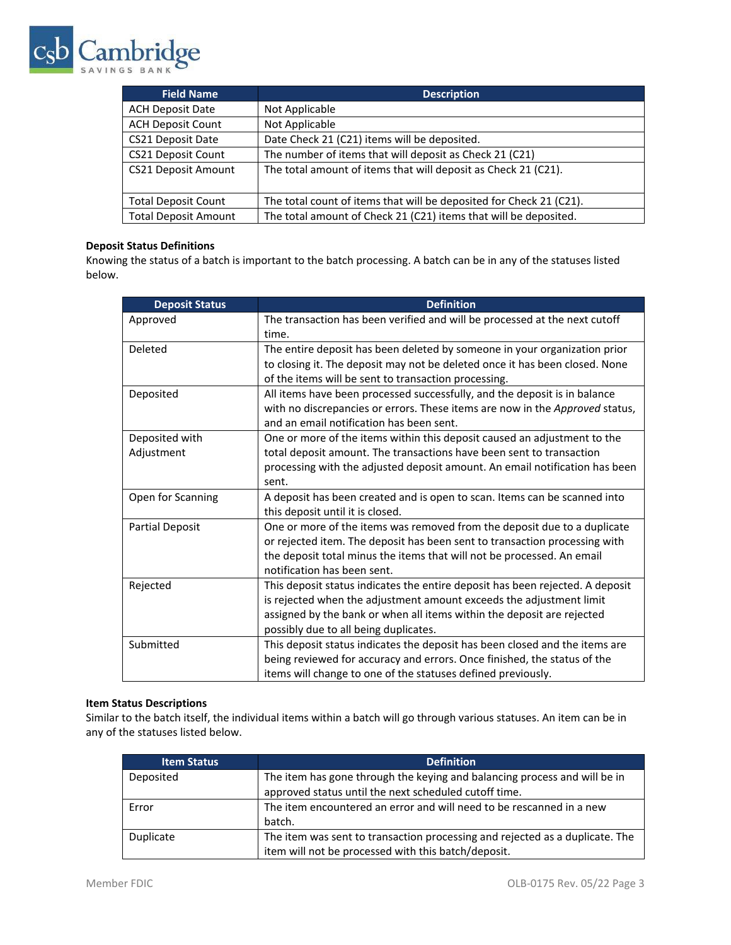

| <b>Field Name</b>           | <b>Description</b>                                                  |
|-----------------------------|---------------------------------------------------------------------|
| <b>ACH Deposit Date</b>     | Not Applicable                                                      |
| <b>ACH Deposit Count</b>    | Not Applicable                                                      |
| <b>CS21 Deposit Date</b>    | Date Check 21 (C21) items will be deposited.                        |
| CS21 Deposit Count          | The number of items that will deposit as Check 21 (C21)             |
| <b>CS21 Deposit Amount</b>  | The total amount of items that will deposit as Check 21 (C21).      |
| <b>Total Deposit Count</b>  | The total count of items that will be deposited for Check 21 (C21). |
| <b>Total Deposit Amount</b> | The total amount of Check 21 (C21) items that will be deposited.    |

#### **Deposit Status Definitions**

Knowing the status of a batch is important to the batch processing. A batch can be in any of the statuses listed below.

| <b>Deposit Status</b>  | <b>Definition</b>                                                             |
|------------------------|-------------------------------------------------------------------------------|
| Approved               | The transaction has been verified and will be processed at the next cutoff    |
|                        | time.                                                                         |
| Deleted                | The entire deposit has been deleted by someone in your organization prior     |
|                        | to closing it. The deposit may not be deleted once it has been closed. None   |
|                        | of the items will be sent to transaction processing.                          |
| Deposited              | All items have been processed successfully, and the deposit is in balance     |
|                        | with no discrepancies or errors. These items are now in the Approved status,  |
|                        | and an email notification has been sent.                                      |
| Deposited with         | One or more of the items within this deposit caused an adjustment to the      |
| Adjustment             | total deposit amount. The transactions have been sent to transaction          |
|                        | processing with the adjusted deposit amount. An email notification has been   |
|                        | sent.                                                                         |
| Open for Scanning      | A deposit has been created and is open to scan. Items can be scanned into     |
|                        | this deposit until it is closed.                                              |
| <b>Partial Deposit</b> | One or more of the items was removed from the deposit due to a duplicate      |
|                        | or rejected item. The deposit has been sent to transaction processing with    |
|                        | the deposit total minus the items that will not be processed. An email        |
|                        | notification has been sent.                                                   |
| Rejected               | This deposit status indicates the entire deposit has been rejected. A deposit |
|                        | is rejected when the adjustment amount exceeds the adjustment limit           |
|                        | assigned by the bank or when all items within the deposit are rejected        |
|                        | possibly due to all being duplicates.                                         |
| Submitted              | This deposit status indicates the deposit has been closed and the items are   |
|                        | being reviewed for accuracy and errors. Once finished, the status of the      |
|                        | items will change to one of the statuses defined previously.                  |

# **Item Status Descriptions**

Similar to the batch itself, the individual items within a batch will go through various statuses. An item can be in any of the statuses listed below.

| <b>Item Status</b> | <b>Definition</b>                                                            |
|--------------------|------------------------------------------------------------------------------|
| Deposited          | The item has gone through the keying and balancing process and will be in    |
|                    | approved status until the next scheduled cutoff time.                        |
| Error              | The item encountered an error and will need to be rescanned in a new         |
|                    | batch.                                                                       |
| Duplicate          | The item was sent to transaction processing and rejected as a duplicate. The |
|                    | item will not be processed with this batch/deposit.                          |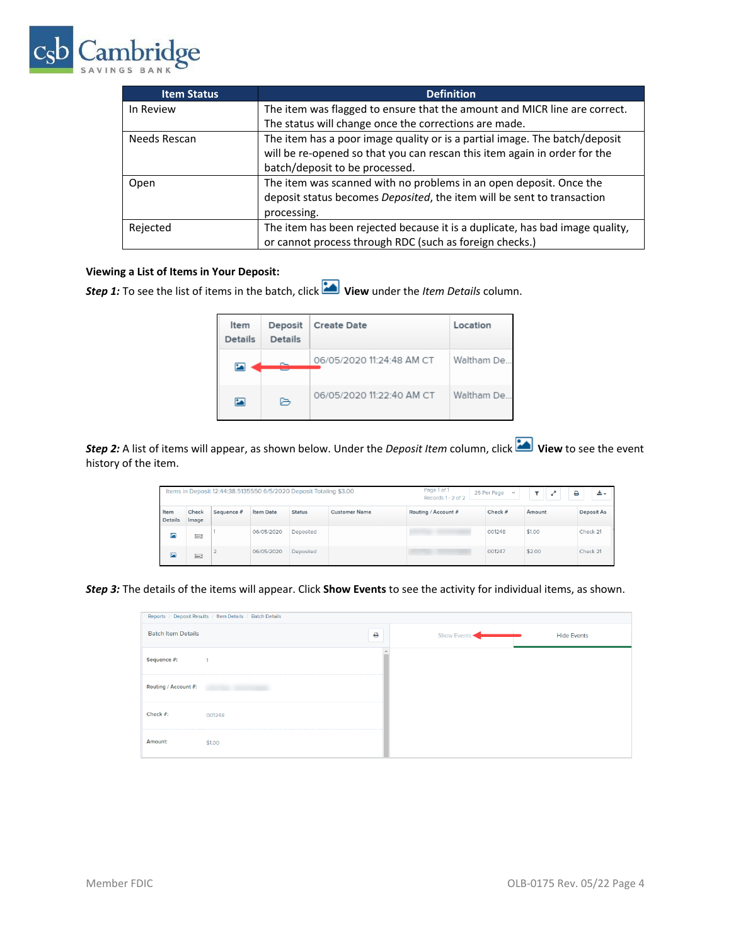

| <b>Item Status</b> | <b>Definition</b>                                                            |
|--------------------|------------------------------------------------------------------------------|
| In Review          | The item was flagged to ensure that the amount and MICR line are correct.    |
|                    | The status will change once the corrections are made.                        |
| Needs Rescan       | The item has a poor image quality or is a partial image. The batch/deposit   |
|                    | will be re-opened so that you can rescan this item again in order for the    |
|                    | batch/deposit to be processed.                                               |
| Open               | The item was scanned with no problems in an open deposit. Once the           |
|                    | deposit status becomes Deposited, the item will be sent to transaction       |
|                    | processing.                                                                  |
| Rejected           | The item has been rejected because it is a duplicate, has bad image quality, |
|                    | or cannot process through RDC (such as foreign checks.)                      |

## **Viewing a List of Items in Your Deposit:**

*Step 1:* To see the list of items in the batch, click **View** under the *Item Details* column.

| Item<br><b>Details</b>  | Deposit<br><b>Details</b> | <b>Create Date</b>        | Location   |
|-------------------------|---------------------------|---------------------------|------------|
| 巫                       |                           | 06/05/2020 11:24:48 AM CT | Waltham De |
| $\overline{\mathbf{z}}$ | ⊳                         | 06/05/2020 11:22:40 AM CT | Waltham De |

**Step 2:** A list of items will appear, as shown below. Under the *Deposit Item* column, click **View** to see the event history of the item.

| Items in Deposit 12:44:38.5135550 6/5/2020 Deposit Totaling \$3.00 |                |            |            | Page 1 of 1<br>Records 1 - 2 of 2 | 25 Per Page v        | ₿<br>v.                         | 出口      |        |            |
|--------------------------------------------------------------------|----------------|------------|------------|-----------------------------------|----------------------|---------------------------------|---------|--------|------------|
| Item<br><b>Details</b>                                             | Check<br>Image | Sequence # | Item Date  | <b>Status</b>                     | <b>Customer Name</b> | Routing / Account #             | Check # | Amount | Deposit As |
| 囜                                                                  | E.             |            | 06/05/2020 | Deposited                         |                      | the contract of the contract of | 001248  | \$1.00 | Check 21   |
| 囜                                                                  | E-3            |            | 06/05/2020 | Deposited                         |                      |                                 | 001247  | \$2.00 | Check 21   |

*Step 3:* The details of the items will appear. Click **Show Events** to see the activity for individual items, as shown.

| Reports / Deposit Results / Item Details / Batch Details |        |   |             |                    |  |  |  |  |
|----------------------------------------------------------|--------|---|-------------|--------------------|--|--|--|--|
| <b>Batch Item Details</b>                                |        | ₿ | Show Events | <b>Hide Events</b> |  |  |  |  |
| Sequence #:                                              |        |   |             |                    |  |  |  |  |
| Routing / Account #:                                     |        |   |             |                    |  |  |  |  |
| Check #:                                                 | 001248 |   |             |                    |  |  |  |  |
| Amount:                                                  | \$1.00 |   |             |                    |  |  |  |  |